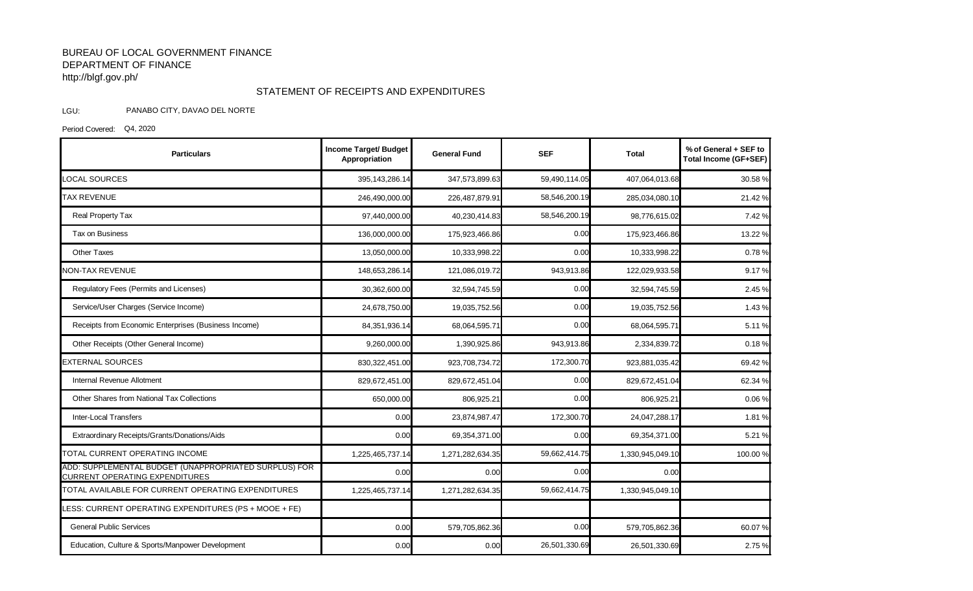## BUREAU OF LOCAL GOVERNMENT FINANCE DEPARTMENT OF FINANCE http://blgf.gov.ph/

## STATEMENT OF RECEIPTS AND EXPENDITURES

## LGU: PANABO CITY, DAVAO DEL NORTE

Period Covered: Q4, 2020

| <b>Particulars</b>                                                                             | <b>Income Target/ Budget</b><br>Appropriation | <b>General Fund</b> | <b>SEF</b>    | Total            | % of General + SEF to<br><b>Total Income (GF+SEF)</b> |
|------------------------------------------------------------------------------------------------|-----------------------------------------------|---------------------|---------------|------------------|-------------------------------------------------------|
| <b>LOCAL SOURCES</b>                                                                           | 395,143,286.14                                | 347,573,899.63      | 59,490,114.05 | 407,064,013.68   | 30.58 %                                               |
| <b>TAX REVENUE</b>                                                                             | 246,490,000.00                                | 226,487,879.91      | 58,546,200.19 | 285,034,080.10   | 21.42%                                                |
| Real Property Tax                                                                              | 97,440,000.00                                 | 40,230,414.83       | 58,546,200.19 | 98,776,615.02    | 7.42 %                                                |
| Tax on Business                                                                                | 136,000,000.00                                | 175,923,466.86      | 0.00          | 175,923,466.86   | 13.22 %                                               |
| <b>Other Taxes</b>                                                                             | 13,050,000.00                                 | 10,333,998.22       | 0.00          | 10,333,998.22    | 0.78%                                                 |
| <b>NON-TAX REVENUE</b>                                                                         | 148,653,286.14                                | 121,086,019.72      | 943,913.86    | 122,029,933.58   | 9.17%                                                 |
| Regulatory Fees (Permits and Licenses)                                                         | 30,362,600.00                                 | 32,594,745.59       | 0.00          | 32,594,745.59    | 2.45 %                                                |
| Service/User Charges (Service Income)                                                          | 24,678,750.00                                 | 19,035,752.56       | 0.00          | 19,035,752.56    | 1.43%                                                 |
| Receipts from Economic Enterprises (Business Income)                                           | 84,351,936.14                                 | 68,064,595.71       | 0.00          | 68,064,595.71    | 5.11%                                                 |
| Other Receipts (Other General Income)                                                          | 9,260,000.00                                  | 1,390,925.86        | 943,913.86    | 2,334,839.72     | 0.18%                                                 |
| <b>EXTERNAL SOURCES</b>                                                                        | 830,322,451.00                                | 923,708,734.72      | 172,300.70    | 923,881,035.42   | 69.42 %                                               |
| Internal Revenue Allotment                                                                     | 829,672,451.00                                | 829,672,451.04      | 0.00          | 829,672,451.04   | 62.34 %                                               |
| Other Shares from National Tax Collections                                                     | 650,000.00                                    | 806,925.21          | 0.00          | 806,925.21       | 0.06%                                                 |
| <b>Inter-Local Transfers</b>                                                                   | 0.00                                          | 23,874,987.47       | 172,300.70    | 24,047,288.17    | 1.81%                                                 |
| Extraordinary Receipts/Grants/Donations/Aids                                                   | 0.00                                          | 69,354,371.00       | 0.00          | 69,354,371.00    | 5.21 %                                                |
| TOTAL CURRENT OPERATING INCOME                                                                 | 1,225,465,737.14                              | 1,271,282,634.35    | 59,662,414.75 | 1,330,945,049.10 | 100.00%                                               |
| ADD: SUPPLEMENTAL BUDGET (UNAPPROPRIATED SURPLUS) FOR<br><b>CURRENT OPERATING EXPENDITURES</b> | 0.00                                          | 0.00                | 0.00          | 0.00             |                                                       |
| TOTAL AVAILABLE FOR CURRENT OPERATING EXPENDITURES                                             | 1,225,465,737.14                              | 1,271,282,634.35    | 59,662,414.75 | 1,330,945,049.10 |                                                       |
| ESS: CURRENT OPERATING EXPENDITURES (PS + MOOE + FE)                                           |                                               |                     |               |                  |                                                       |
| <b>General Public Services</b>                                                                 | 0.00                                          | 579,705,862.36      | 0.00          | 579,705,862.36   | 60.07%                                                |
| Education, Culture & Sports/Manpower Development                                               | 0.00                                          | 0.00                | 26,501,330.69 | 26,501,330.69    | 2.75 %                                                |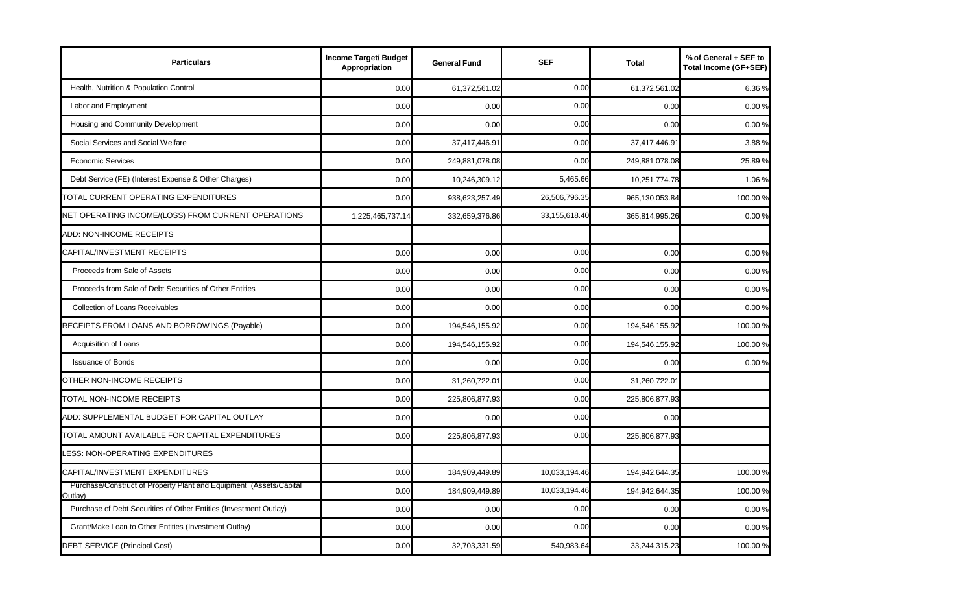| <b>Particulars</b>                                                            | Income Target/ Budget<br>Appropriation | <b>General Fund</b> | <b>SEF</b>    | <b>Total</b>   | % of General + SEF to<br><b>Total Income (GF+SEF)</b> |
|-------------------------------------------------------------------------------|----------------------------------------|---------------------|---------------|----------------|-------------------------------------------------------|
| Health, Nutrition & Population Control                                        | 0.00                                   | 61,372,561.02       | 0.00          | 61,372,561.02  | 6.36%                                                 |
| Labor and Employment                                                          | 0.00                                   | 0.00                | 0.00          | 0.00           | 0.00 %                                                |
| Housing and Community Development                                             | 0.00                                   | 0.00                | 0.00          | 0.00           | 0.00 %                                                |
| Social Services and Social Welfare                                            | 0.00                                   | 37,417,446.91       | 0.00          | 37,417,446.91  | 3.88%                                                 |
| <b>Economic Services</b>                                                      | 0.00                                   | 249,881,078.08      | 0.00          | 249,881,078.08 | 25.89%                                                |
| Debt Service (FE) (Interest Expense & Other Charges)                          | 0.00                                   | 10,246,309.12       | 5,465.66      | 10,251,774.78  | 1.06%                                                 |
| TOTAL CURRENT OPERATING EXPENDITURES                                          | 0.00                                   | 938,623,257.49      | 26,506,796.35 | 965,130,053.84 | 100.00 %                                              |
| NET OPERATING INCOME/(LOSS) FROM CURRENT OPERATIONS                           | 1,225,465,737.14                       | 332,659,376.86      | 33,155,618.40 | 365,814,995.26 | 0.00%                                                 |
| ADD: NON-INCOME RECEIPTS                                                      |                                        |                     |               |                |                                                       |
| CAPITAL/INVESTMENT RECEIPTS                                                   | 0.00                                   | 0.00                | 0.00          | 0.00           | 0.00%                                                 |
| Proceeds from Sale of Assets                                                  | 0.00                                   | 0.00                | 0.00          | 0.00           | 0.00%                                                 |
| Proceeds from Sale of Debt Securities of Other Entities                       | 0.00                                   | 0.00                | 0.00          | 0.00           | 0.00%                                                 |
| <b>Collection of Loans Receivables</b>                                        | 0.00                                   | 0.00                | 0.00          | 0.00           | 0.00%                                                 |
| RECEIPTS FROM LOANS AND BORROWINGS (Payable)                                  | 0.00                                   | 194,546,155.92      | 0.00          | 194,546,155.92 | 100.00 %                                              |
| Acquisition of Loans                                                          | 0.00                                   | 194,546,155.92      | 0.00          | 194,546,155.92 | 100.00%                                               |
| <b>Issuance of Bonds</b>                                                      | 0.00                                   | 0.00                | 0.00          | 0.00           | 0.00%                                                 |
| OTHER NON-INCOME RECEIPTS                                                     | 0.00                                   | 31,260,722.01       | 0.00          | 31,260,722.01  |                                                       |
| TOTAL NON-INCOME RECEIPTS                                                     | 0.00                                   | 225,806,877.93      | 0.00          | 225,806,877.93 |                                                       |
| ADD: SUPPLEMENTAL BUDGET FOR CAPITAL OUTLAY                                   | 0.00                                   | 0.00                | 0.00          | 0.00           |                                                       |
| TOTAL AMOUNT AVAILABLE FOR CAPITAL EXPENDITURES                               | 0.00                                   | 225,806,877.93      | 0.00          | 225,806,877.93 |                                                       |
| <b>LESS: NON-OPERATING EXPENDITURES</b>                                       |                                        |                     |               |                |                                                       |
| CAPITAL/INVESTMENT EXPENDITURES                                               | 0.00                                   | 184,909,449.89      | 10,033,194.46 | 194,942,644.35 | 100.00%                                               |
| Purchase/Construct of Property Plant and Equipment (Assets/Capital<br>Outlay) | 0.00                                   | 184,909,449.89      | 10,033,194.46 | 194,942,644.35 | 100.00 %                                              |
| Purchase of Debt Securities of Other Entities (Investment Outlay)             | 0.00                                   | 0.00                | 0.00          | 0.00           | 0.00%                                                 |
| Grant/Make Loan to Other Entities (Investment Outlay)                         | 0.00                                   | 0.00                | 0.00          | 0.00           | 0.00%                                                 |
| DEBT SERVICE (Principal Cost)                                                 | 0.00                                   | 32,703,331.59       | 540,983.64    | 33,244,315.23  | 100.00%                                               |